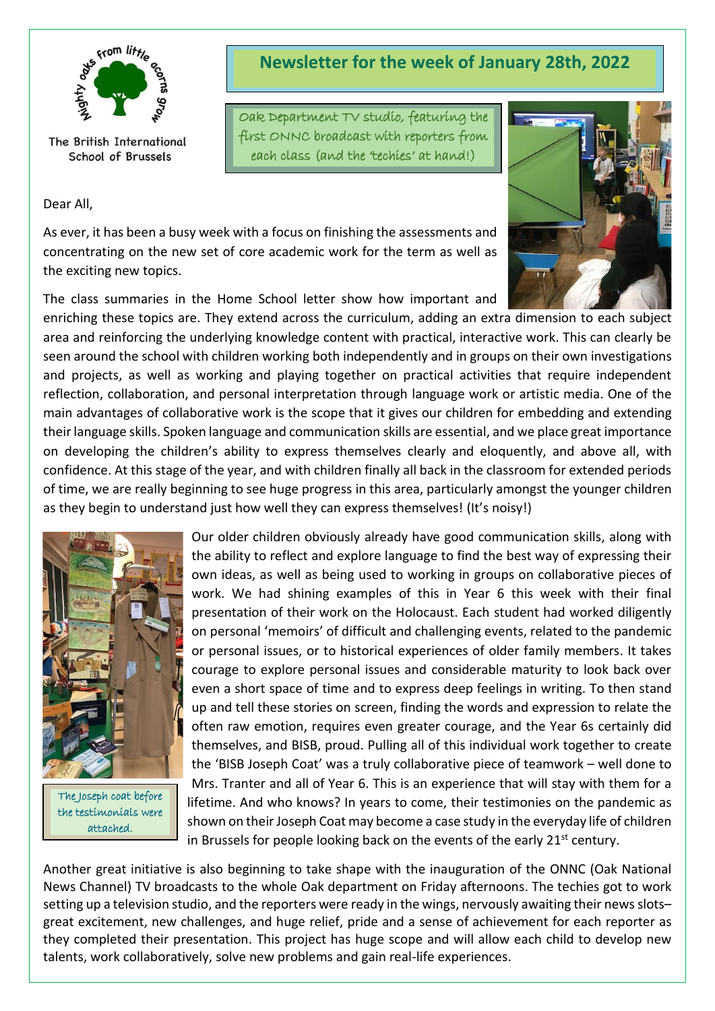

The British International School of Brussels

#### Dear All,

**Newsletter for the week of January 28th, 2022**

Oak Department TV studio, featuring the first ONNC broadcast with reporters from each class (and the 'techies' at hand!)



The class summaries in the Home School letter show how important and



enriching these topics are. They extend across the curriculum, adding an extra dimension to each subject area and reinforcing the underlying knowledge content with practical, interactive work. This can clearly be seen around the school with children working both independently and in groups on their own investigations and projects, as well as working and playing together on practical activities that require independent reflection, collaboration, and personal interpretation through language work or artistic media. One of the main advantages of collaborative work is the scope that it gives our children for embedding and extending their language skills. Spoken language and communication skills are essential, and we place great importance on developing the children's ability to express themselves clearly and eloquently, and above all, with confidence. At this stage of the year, and with children finally all back in the classroom for extended periods of time, we are really beginning to see huge progress in this area, particularly amongst the younger children as they begin to understand just how well they can express themselves! (It's noisy!)



The Joseph coat before the testimonials were attached.

Our older children obviously already have good communication skills, along with the ability to reflect and explore language to find the best way of expressing their own ideas, as well as being used to working in groups on collaborative pieces of work. We had shining examples of this in Year 6 this week with their final presentation of their work on the Holocaust. Each student had worked diligently on personal 'memoirs' of difficult and challenging events, related to the pandemic or personal issues, or to historical experiences of older family members. It takes courage to explore personal issues and considerable maturity to look back over even a short space of time and to express deep feelings in writing. To then stand up and tell these stories on screen, finding the words and expression to relate the often raw emotion, requires even greater courage, and the Year 6s certainly did themselves, and BISB, proud. Pulling all of this individual work together to create the 'BISB Joseph Coat' was a truly collaborative piece of teamwork – well done to Mrs. Tranter and all of Year 6. This is an experience that will stay with them for a lifetime. And who knows? In years to come, their testimonies on the pandemic as shown on their Joseph Coat may become a case study in the everyday life of children in Brussels for people looking back on the events of the early  $21<sup>st</sup>$  century.

Another great initiative is also beginning to take shape with the inauguration of the ONNC (Oak National News Channel) TV broadcasts to the whole Oak department on Friday afternoons. The techies got to work setting up a television studio, and the reporters were ready in the wings, nervously awaiting their news slots– great excitement, new challenges, and huge relief, pride and a sense of achievement for each reporter as they completed their presentation. This project has huge scope and will allow each child to develop new talents, work collaboratively, solve new problems and gain real-life experiences.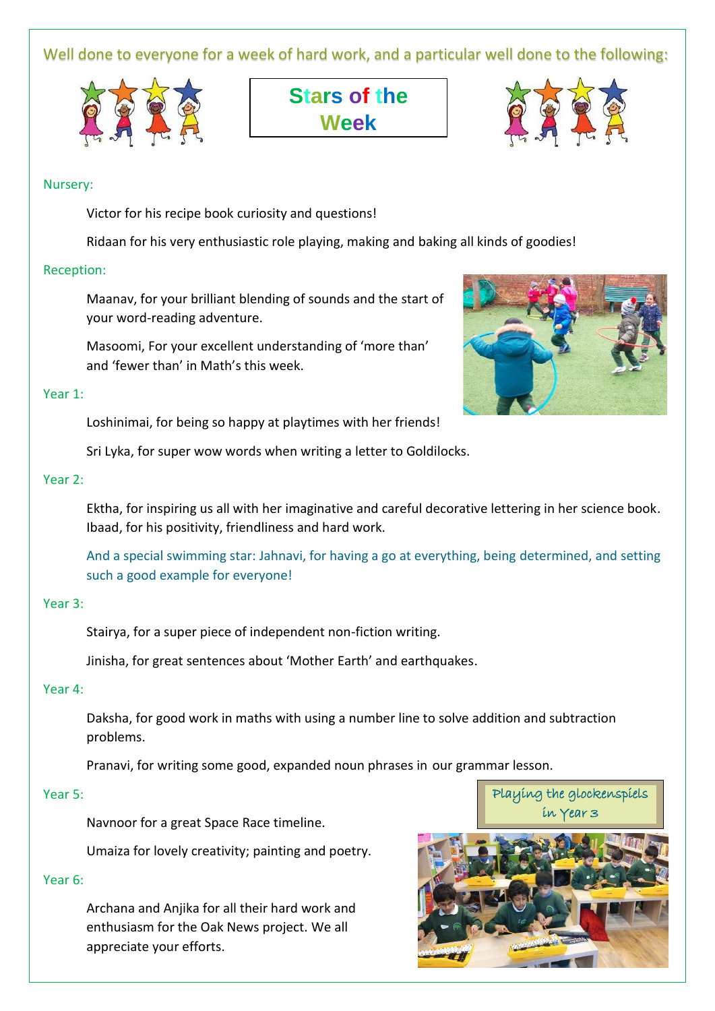Well done to everyone for a week of hard work, and a particular well done to the following:



**Stars of the Week**



## Nursery:

Victor for his recipe book curiosity and questions!

Ridaan for his very enthusiastic role playing, making and baking all kinds of goodies!

## Reception:

Maanav, for your brilliant blending of sounds and the start of your word-reading adventure.

Masoomi, For your excellent understanding of 'more than' and 'fewer than' in Math's this week.

#### Year 1:

Loshinimai, for being so happy at playtimes with her friends!

Sri Lyka, for super wow words when writing a letter to Goldilocks.

## Year 2:

Ektha, for inspiring us all with her imaginative and careful decorative lettering in her science book. Ibaad, for his positivity, friendliness and hard work.

And a special swimming star: Jahnavi, for having a go at everything, being determined, and setting such a good example for everyone!

## Year 3:

Stairya, for a super piece of independent non-fiction writing.

Jinisha, for great sentences about 'Mother Earth' and earthquakes.

## Year 4:

Daksha, for good work in maths with using a number line to solve addition and subtraction problems.

Pranavi, for writing some good, expanded noun phrases in our grammar lesson.

## Year 5:

Navnoor for a great Space Race timeline.

Umaiza for lovely creativity; painting and poetry.

## Year 6:

Archana and Anjika for all their hard work and enthusiasm for the Oak News project. We all appreciate your efforts.





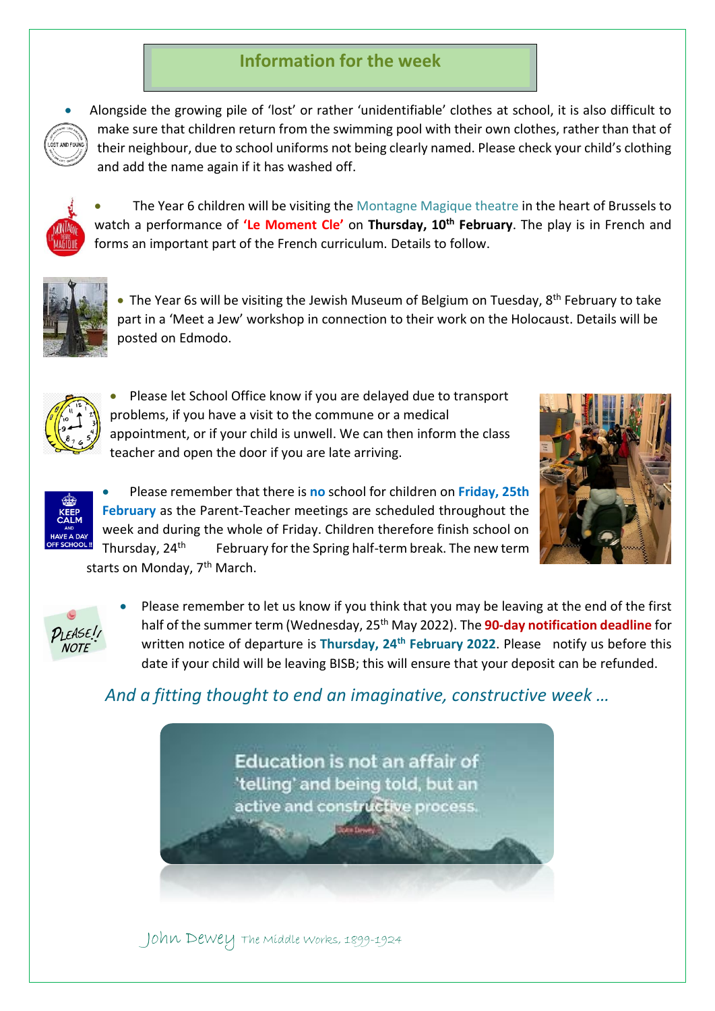# **Information for the week**



• Alongside the growing pile of 'lost' or rather 'unidentifiable' clothes at school, it is also difficult to make sure that children return from the swimming pool with their own clothes, rather than that of their neighbour, due to school uniforms not being clearly named. Please check your child's clothing and add the name again if it has washed off.



• The Year 6 children will be visiting the Montagne Magique theatre in the heart of Brussels to watch a performance of **'Le Moment Cle'** on **Thursday, 10th February**. The play is in French and forms an important part of the French curriculum. Details to follow.



• The Year 6s will be visiting the Jewish Museum of Belgium on Tuesday, 8<sup>th</sup> February to take part in a 'Meet a Jew' workshop in connection to their work on the Holocaust. Details will be posted on Edmodo.



• Please let School Office know if you are delayed due to transport problems, if you have a visit to the commune or a medical appointment, or if your child is unwell. We can then inform the class teacher and open the door if you are late arriving.





• Please remember that there is **no** school for children on **Friday, 25th February** as the Parent-Teacher meetings are scheduled throughout the week and during the whole of Friday. Children therefore finish school on Thursday, 24<sup>th</sup> February for the Spring half-term break. The new term

starts on Monday, 7<sup>th</sup> March.



• Please remember to let us know if you think that you may be leaving at the end of the first half of the summer term (Wednesday, 25th May 2022). The **90-day notification deadline** for written notice of departure is **Thursday, 24th February 2022**. Please notify us before this date if your child will be leaving BISB; this will ensure that your deposit can be refunded.

# *And a fitting thought to end an imaginative, constructive week …*



John Dewey The Middle Works, 1899-1924